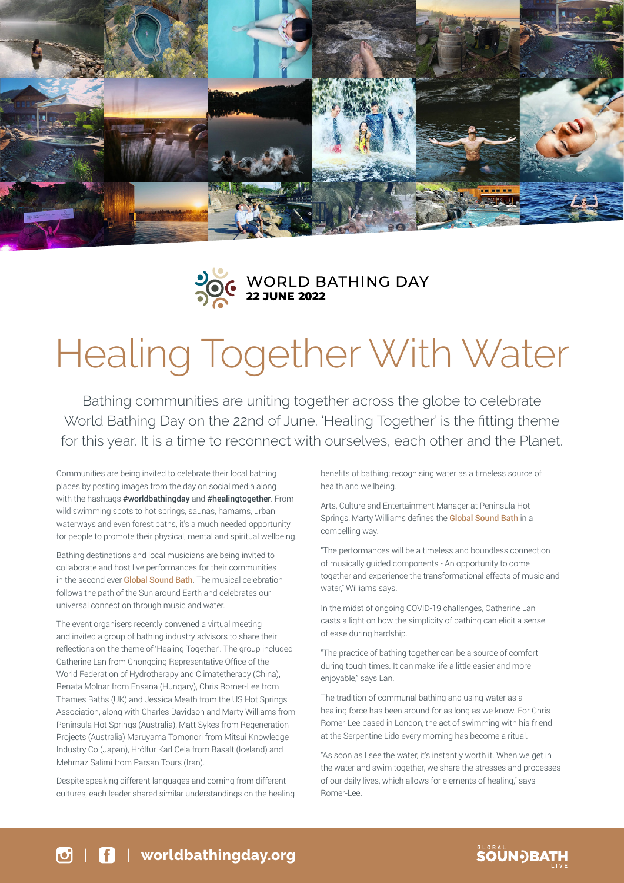



# Healing Together With Water

Bathing communities are uniting together across the globe to celebrate World Bathing Day on the 22nd of June. 'Healing Together' is the fitting theme for this year. It is a time to reconnect with ourselves, each other and the Planet.

Communities are being invited to celebrate their local bathing places by posting images from the day on social media along with the hashtags [#worldbathingday](https://www.instagram.com/explore/tags/worldbathingday/?hl=en) and #healingtogether. From wild swimming spots to hot springs, saunas, hamams, urban waterways and even forest baths, it's a much needed opportunity for people to promote their physical, mental and spiritual wellbeing.

Bathing destinations and local musicians are being invited to collaborate and host live performances for their communities in the second ever **[Global Sound Bath](https://worldbathingday.org/global-sound-bath/)**. The musical celebration follows the path of the Sun around Earth and celebrates our universal connection through music and water.

The event organisers recently convened a virtual meeting and invited a group of bathing industry advisors to share their reflections on the theme of 'Healing Together'. The group included Catherine Lan from Chongqing Representative Office of the World Federation of Hydrotherapy and Climatetherapy (China), Renata Molnar from Ensana (Hungary), Chris Romer-Lee from Thames Baths (UK) and Jessica Meath from the US Hot Springs Association, along with Charles Davidson and Marty Williams from Peninsula Hot Springs (Australia), Matt Sykes from Regeneration Projects (Australia) Maruyama Tomonori from Mitsui Knowledge Industry Co (Japan), Hrólfur Karl Cela from Basalt (Iceland) and Mehrnaz Salimi from Parsan Tours (Iran).

Despite speaking different languages and coming from different cultures, each leader shared similar understandings on the healing benefits of bathing; recognising water as a timeless source of health and wellbeing.

Arts, Culture and Entertainment Manager at Peninsula Hot Springs, Marty Williams defines the [Global Sound Bath](https://worldbathingday.org/global-sound-bath/) in a compelling way.

"The performances will be a timeless and boundless connection of musically guided components - An opportunity to come together and experience the transformational effects of music and water," Williams says.

In the midst of ongoing COVID-19 challenges, Catherine Lan casts a light on how the simplicity of bathing can elicit a sense of ease during hardship.

"The practice of bathing together can be a source of comfort during tough times. It can make life a little easier and more enjoyable," says Lan.

The tradition of communal bathing and using water as a healing force has been around for as long as we know. For Chris Romer-Lee based in London, the act of swimming with his friend at the Serpentine Lido every morning has become a ritual.

"As soon as I see the water, it's instantly worth it. When we get in the water and swim together, we share the stresses and processes of our daily lives, which allows for elements of healing," says Romer-Lee